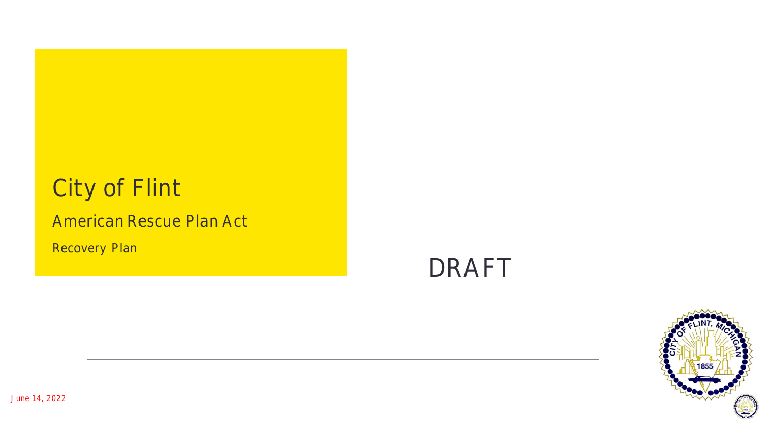# **City of Flint**

### American Rescue Plan Act

**Recovery Plan** 

**DRAFT**

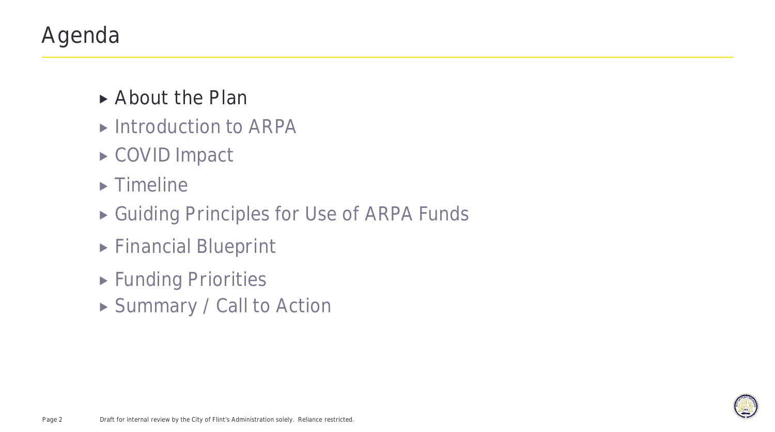# Agenda

- **About the Plan**
- ▶ Introduction to ARPA
- ▶ COVID Impact
- $\blacktriangleright$  Timeline
- ▶ Guiding Principles for Use of ARPA Funds
- Financial Blueprint
- **Funding Priorities**
- ▶ Summary / Call to Action

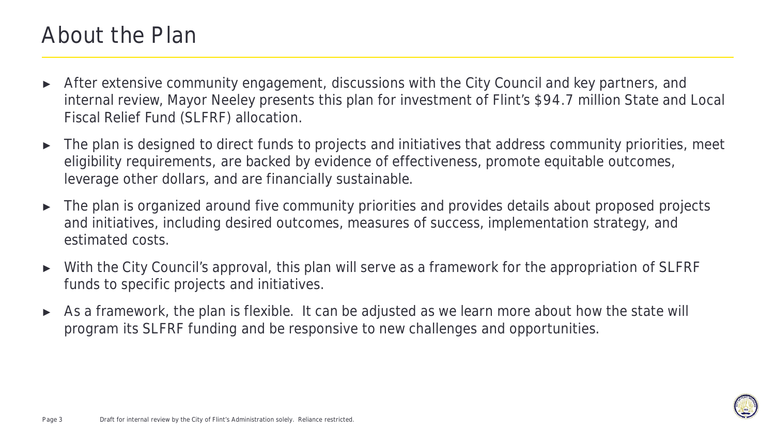### About the Plan

- ► After extensive community engagement, discussions with the City Council and key partners, and internal review, Mayor Neeley presents this plan for investment of Flint's \$94.7 million State and Local Fiscal Relief Fund (SLFRF) allocation.
- ► The plan is designed to direct funds to projects and initiatives that address community priorities, meet eligibility requirements, are backed by evidence of effectiveness, promote equitable outcomes, leverage other dollars, and are financially sustainable.
- ► The plan is organized around five community priorities and provides details about proposed projects and initiatives, including desired outcomes, measures of success, implementation strategy, and estimated costs.
- ► With the City Council's approval, this plan will serve as a framework for the appropriation of SLFRF funds to specific projects and initiatives.
- As a framework, the plan is flexible. It can be adjusted as we learn more about how the state will program its SLFRF funding and be responsive to new challenges and opportunities.

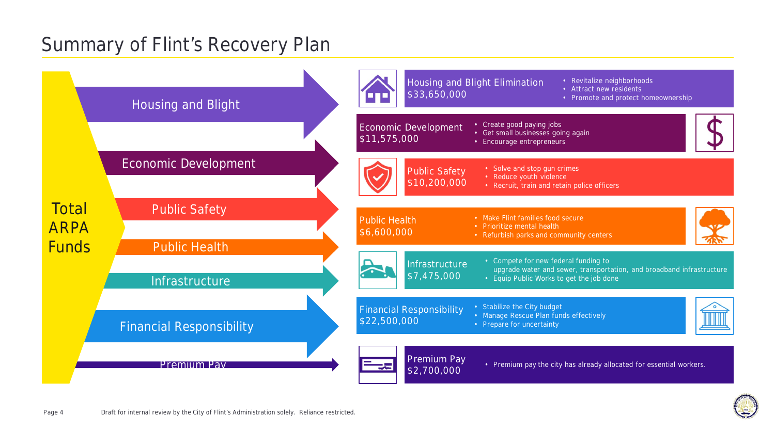### Summary of Flint's Recovery Plan



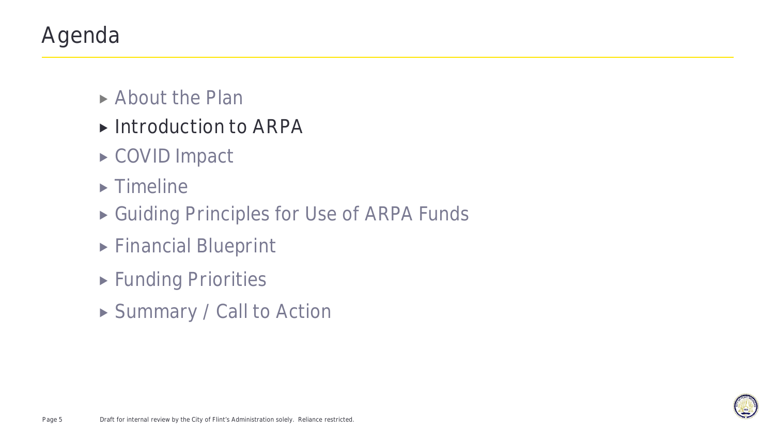# Agenda

- ▶ About the Plan
- ▶ Introduction to ARPA
- ▶ COVID Impact
- $\blacktriangleright$  Timeline
- ▶ Guiding Principles for Use of ARPA Funds
- Financial Blueprint
- **Funding Priorities**
- ▶ Summary / Call to Action

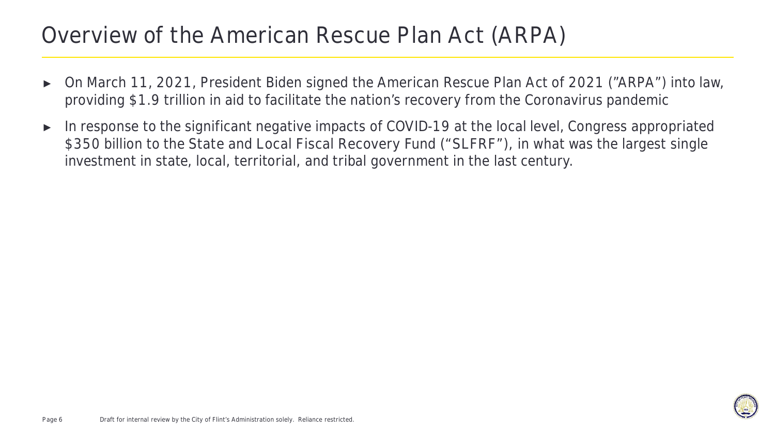### Overview of the American Rescue Plan Act (ARPA)

- ► On March 11, 2021, President Biden signed the American Rescue Plan Act of 2021 ("ARPA") into law, providing \$1.9 trillion in aid to facilitate the nation's recovery from the Coronavirus pandemic
- ► In response to the significant negative impacts of COVID-19 at the local level, Congress appropriated \$350 billion to the **State and Local Fiscal Recovery Fund ("SLFRF")**, in what was the largest single investment in state, local, territorial, and tribal government in the last century.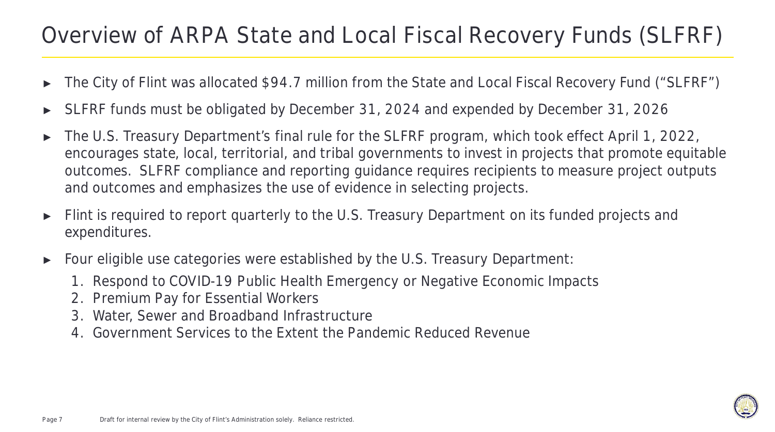### Overview of ARPA State and Local Fiscal Recovery Funds (SLFRF)

- The City of Flint was allocated \$94.7 million from the State and Local Fiscal Recovery Fund ("SLFRF")
- SLFRF funds must be obligated by December 31, 2024 and expended by December 31, 2026
- ► The U.S. Treasury Department's final rule for the SLFRF program, which took effect April 1, 2022, encourages state, local, territorial, and tribal governments to invest in projects that promote equitable outcomes. SLFRF compliance and reporting guidance requires recipients to measure project outputs and outcomes and emphasizes the use of evidence in selecting projects.
- ► Flint is required to report quarterly to the U.S. Treasury Department on its funded projects and expenditures.
- ► Four eligible use categories were established by the U.S. Treasury Department:
	- 1. Respond to COVID-19 Public Health Emergency or Negative Economic Impacts
	- 2. Premium Pay for Essential Workers
	- 3. Water, Sewer and Broadband Infrastructure
	- 4. Government Services to the Extent the Pandemic Reduced Revenue

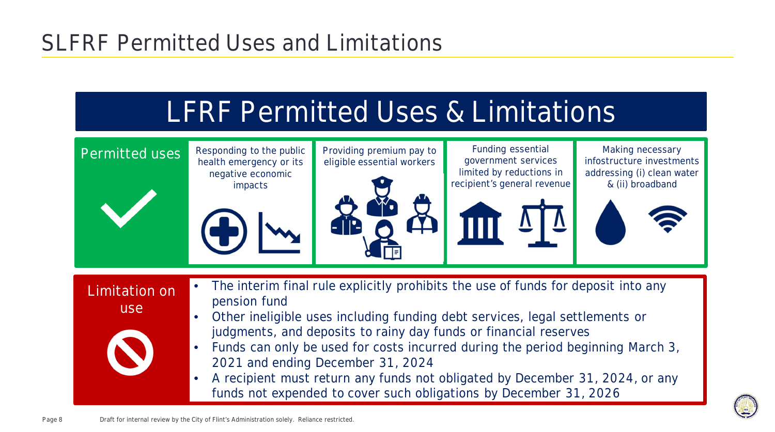# SLFRF Permitted Uses and Limitations

# LFRF Permitted Uses & Limitations



**Limitation on use**



- **The interim final rule explicitly prohibits the use of funds for deposit into any pension fund**
- **Other ineligible uses including funding debt services, legal settlements or judgments, and deposits to rainy day funds or financial reserves**
- **Funds can only be used for costs incurred during the period beginning March 3, 2021 and ending December 31, 2024**
- **A recipient must return any funds not obligated by December 31, 2024, or any funds not expended to cover such obligations by December 31, 2026**

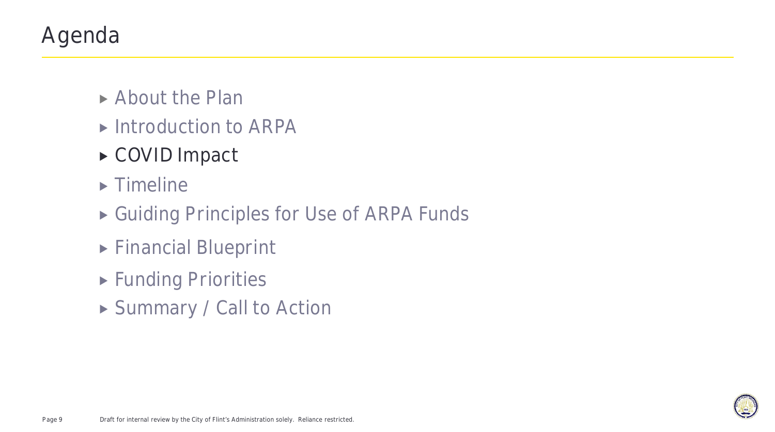# Agenda

- ▶ About the Plan
- ▶ Introduction to ARPA
- **COVID Impact**
- $\blacktriangleright$  Timeline
- ▶ Guiding Principles for Use of ARPA Funds
- Financial Blueprint
- **Funding Priorities**
- ▶ Summary / Call to Action

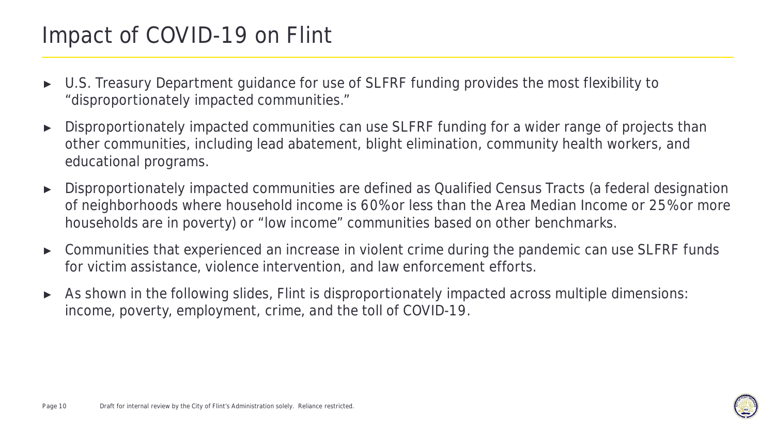# Impact of COVID-19 on Flint

- ► U.S. Treasury Department guidance for use of SLFRF funding provides the most flexibility to "disproportionately impacted communities."
- ► Disproportionately impacted communities can use SLFRF funding for a wider range of projects than other communities, including lead abatement, blight elimination, community health workers, and educational programs.
- ► Disproportionately impacted communities are defined as Qualified Census Tracts (a federal designation of neighborhoods where household income is 60% or less than the Area Median Income or 25% or more households are in poverty) or "low income" communities based on other benchmarks.
- ► Communities that experienced an increase in violent crime during the pandemic can use SLFRF funds for victim assistance, violence intervention, and law enforcement efforts.
- ► As shown in the following slides, Flint is disproportionately impacted across multiple dimensions: income, poverty, employment, crime, and the toll of COVID-19.

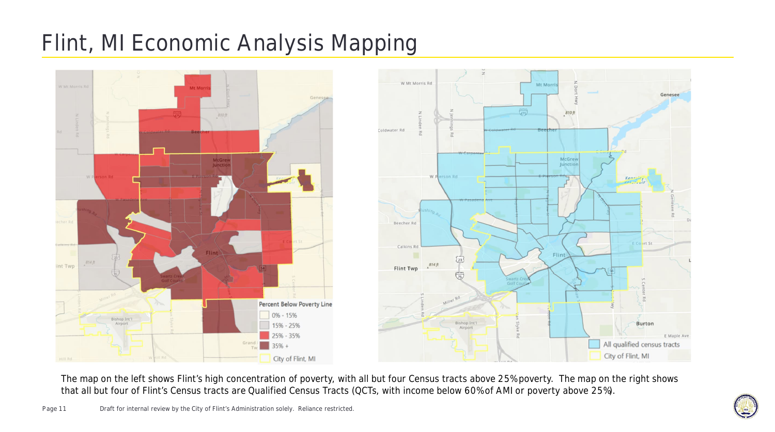# **Flint, MI Economic Analysis Mapping**



The map on the left shows Flint's high concentration of poverty, with all but four Census tracts above 25% poverty. The map on the right shows that all but four of Flint's Census tracts are Qualified Census Tracts (QCTs, with income below 60% of AMI or poverty above 25%).

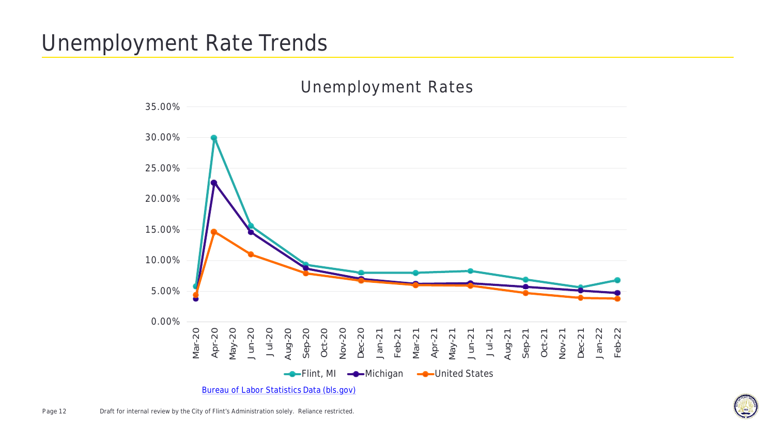# **Unemployment Rate Trends**



Bureau of Labor Statistics Data (bls.gov)

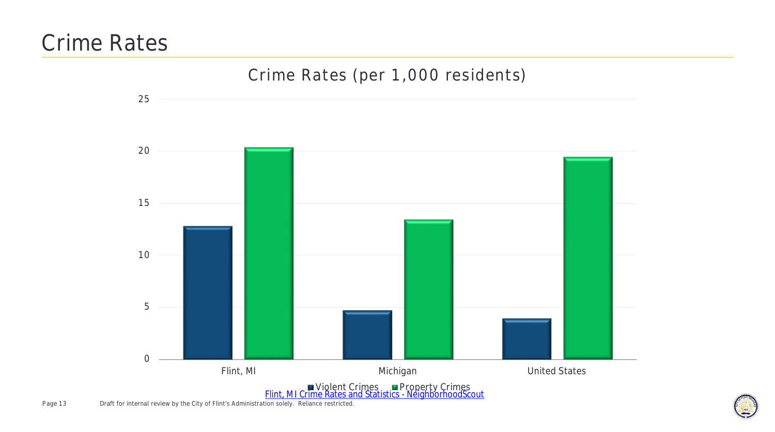### **Crime Rates**



Page 13 Draft for internal review by the City of Flint's Administration solely. Reliance restricted.

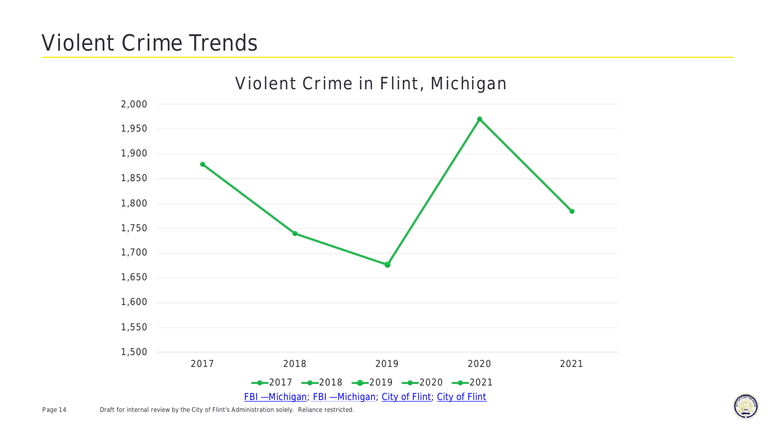# **Violent Crime Trends**



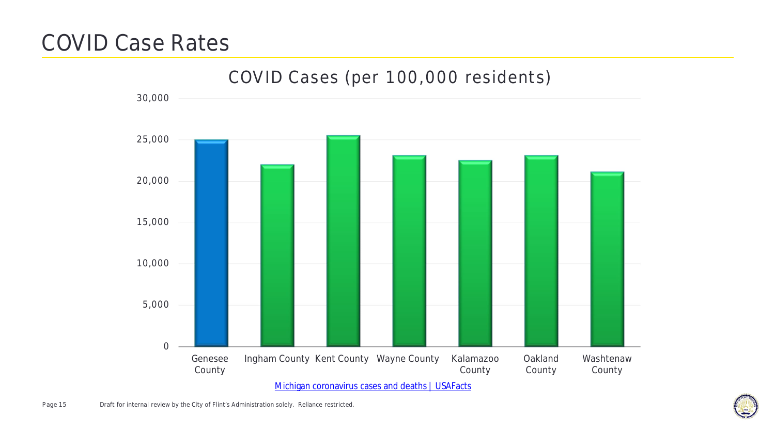### **COVID Case Rates**



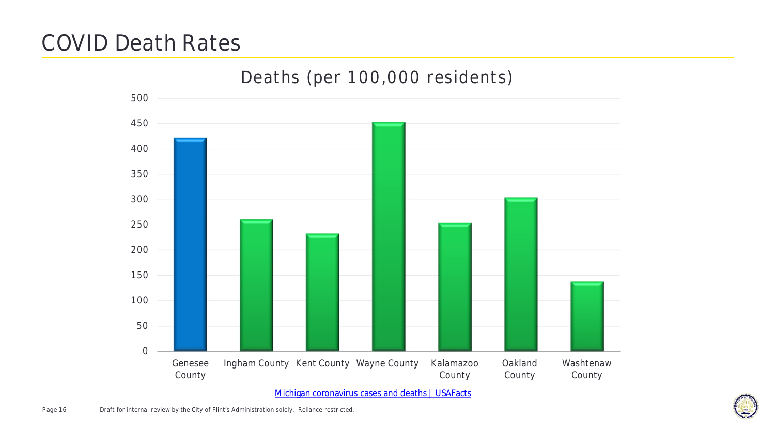### **COVID Death Rates**



Michigan coronavirus cases and deaths | USAFacts

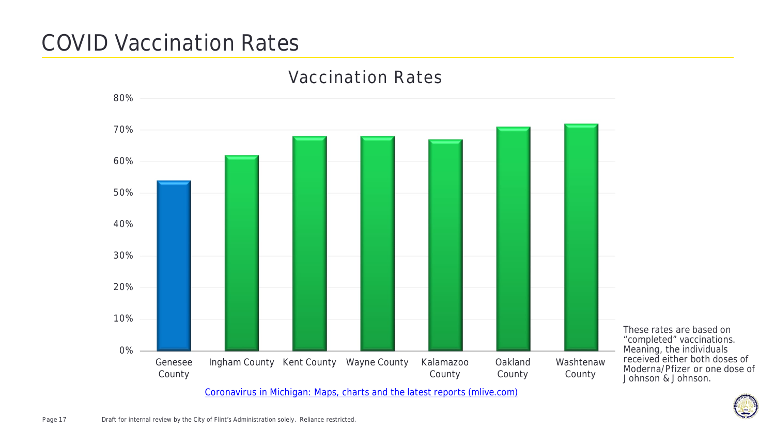# **COVID Vaccination Rates**



Coronavirus in Michigan: Maps, charts and the latest reports (mlive.com)

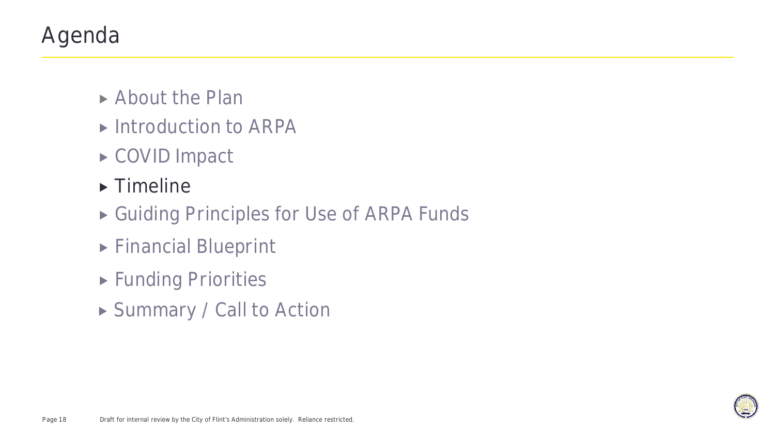# Agenda

- ▶ About the Plan
- ▶ Introduction to ARPA
- ▶ COVID Impact
- **Timeline**
- ▶ Guiding Principles for Use of ARPA Funds
- Financial Blueprint
- **Funding Priorities**
- ▶ Summary / Call to Action

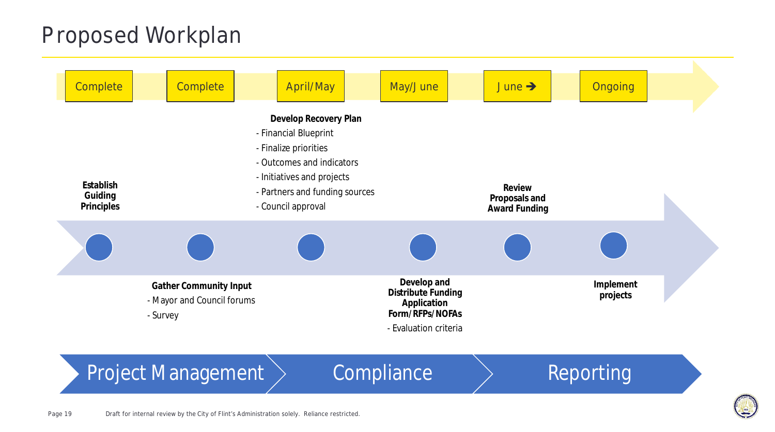### **Proposed Workplan**

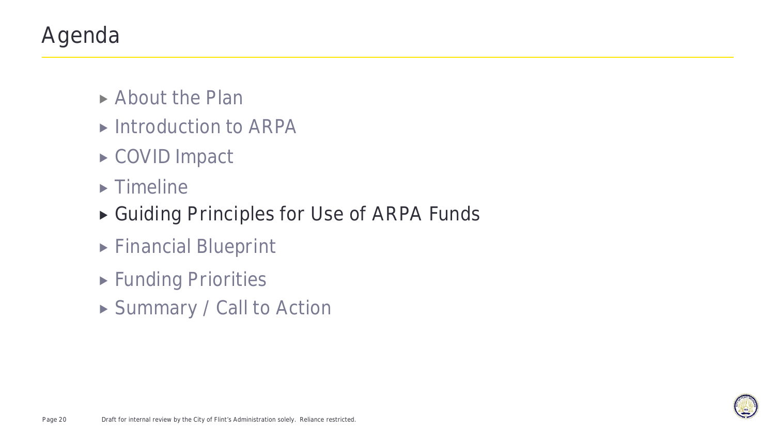# Agenda

- ▶ About the Plan
- ▶ Introduction to ARPA
- ▶ COVID Impact
- $\blacktriangleright$  Timeline
- **Guiding Principles for Use of ARPA Funds**
- Financial Blueprint
- **Funding Priorities**
- ▶ Summary / Call to Action

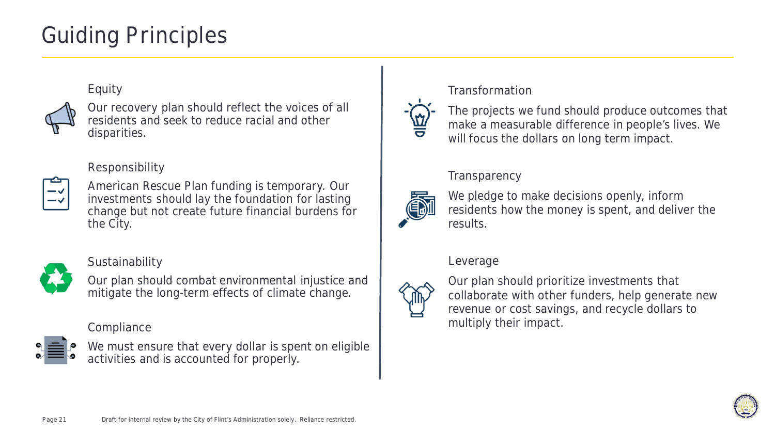# Guiding Principles

#### **Equity**



Our recovery plan should reflect the voices of all residents and seek to reduce racial and other disparities.

### **Responsibility**



American Rescue Plan funding is temporary. Our investments should lay the foundation for lasting change but not create future financial burdens for the City.



**Sustainability**

Our plan should combat environmental injustice and mitigate the long-term effects of climate change.

**Compliance**



We must ensure that every dollar is spent on eligible activities and is accounted for properly.

#### **Transformation**



The projects we fund should produce outcomes that make a measurable difference in people's lives. We will focus the dollars on long term impact.

### **Transparency**



We pledge to make decisions openly, inform residents how the money is spent, and deliver the results.

#### **Leverage**



Our plan should prioritize investments that collaborate with other funders, help generate new revenue or cost savings, and recycle dollars to multiply their impact.

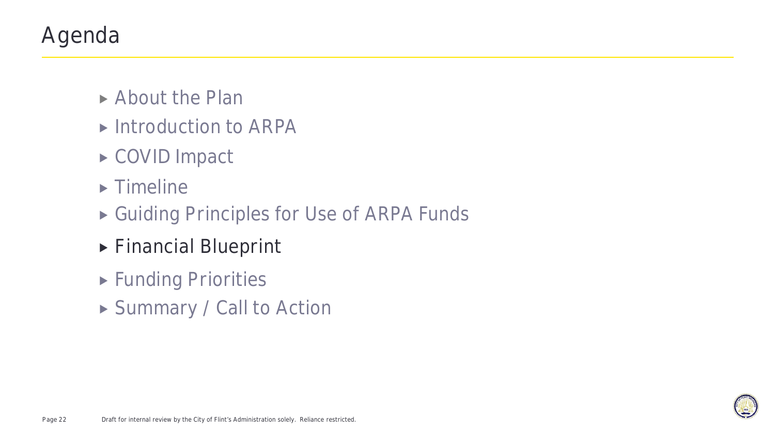# Agenda

- ▶ About the Plan
- ▶ Introduction to ARPA
- ▶ COVID Impact
- $\blacktriangleright$  Timeline
- ▶ Guiding Principles for Use of ARPA Funds
- **Financial Blueprint**
- **Funding Priorities**
- ▶ Summary / Call to Action

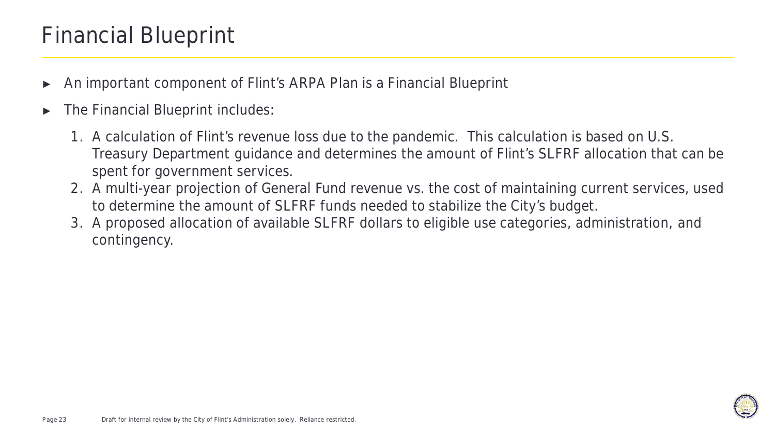### Financial Blueprint

- An important component of Flint's ARPA Plan is a Financial Blueprint
- The Financial Blueprint includes:
	- 1. A calculation of Flint's revenue loss due to the pandemic. This calculation is based on U.S. Treasury Department guidance and determines the amount of Flint's SLFRF allocation that can be spent for government services.
	- 2. A multi-year projection of General Fund revenue vs. the cost of maintaining current services, used to determine the amount of SLFRF funds needed to stabilize the City's budget.
	- 3. A proposed allocation of available SLFRF dollars to eligible use categories, administration, and contingency.

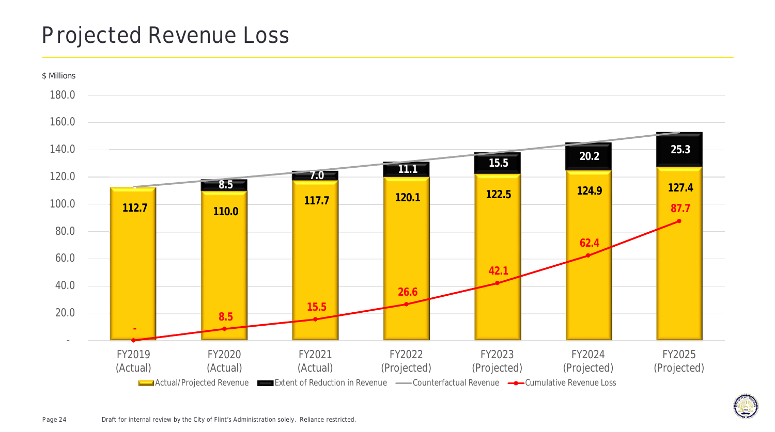### Projected Revenue Loss



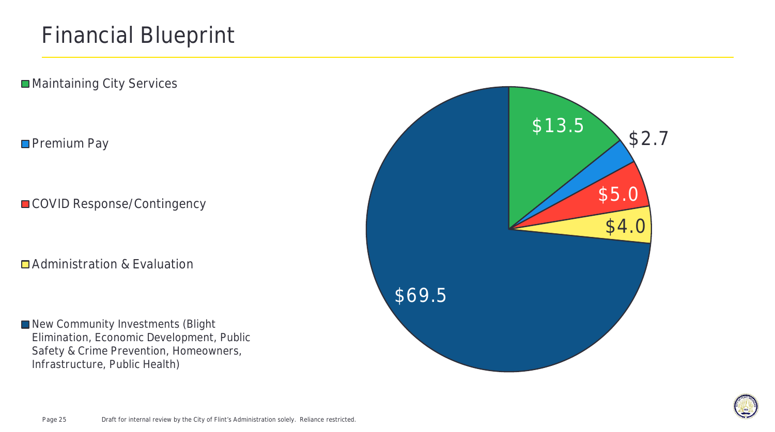■ Maintaining City Services

### **Premium Pay**

COVID Response/Contingency

**□** Administration & Evaluation

New Community Investments (Blight Elimination, Economic Development, Public Safety & Crime Prevention, Homeowners, Infrastructure, Public Health)



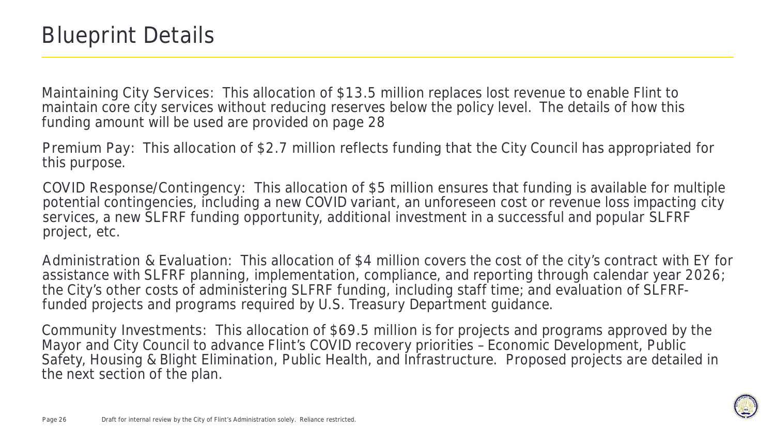**Maintaining City Services:** This allocation of **\$13.5 million** replaces lost revenue to enable Flint to maintain core city services without reducing reserves below the policy level. The details of how this funding amount will be used are provided on page 28

**Premium Pay:** This allocation of **\$2.7 million** reflects funding that the City Council has appropriated for this purpose.

**COVID Response/Contingency:** This allocation of **\$5 million** ensures that funding is available for multiple potential contingencies, including a new COVID variant, an unforeseen cost or revenue loss impacting city services, a new SLFRF funding opportunity, additional investment in a successful and popular SLFRF project, etc.

**Administration & Evaluation:** This allocation of **\$4 million** covers the cost of the city's contract with EY for assistance with SLFRF planning, implementation, compliance, and reporting through calendar year 2026; the City's other costs of administering SLFRF funding, including staff time; and evaluation of SLFRFfunded projects and programs required by U.S. Treasury Department guidance.

**Community Investments:** This allocation of **\$69.5 million** is for projects and programs approved by the Mayor and City Council to advance Flint's COVID recovery priorities - Economic Development, Public Safety, Housing & Blight Elimination, Public Health, and Infrastructure. Proposed projects are detailed in the next section of the plan.

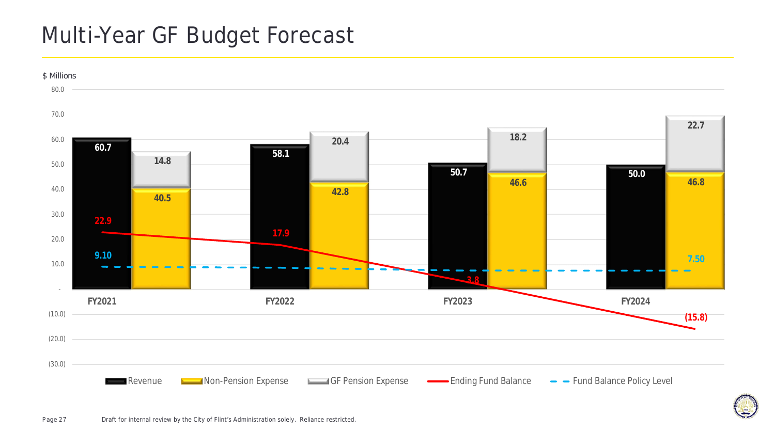### Multi-Year GF Budget Forecast



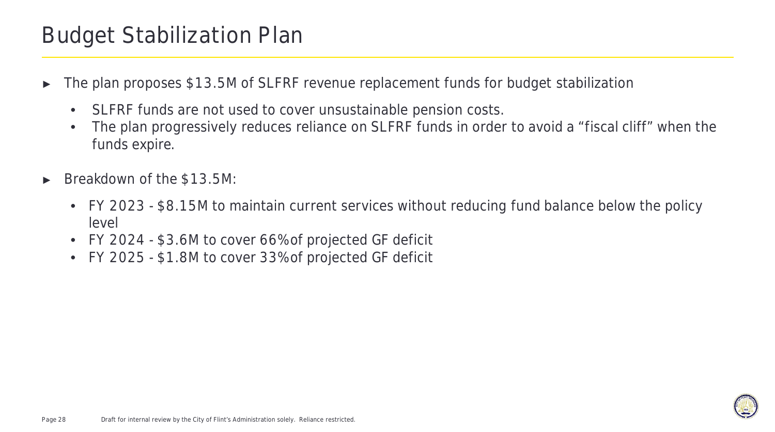### Budget Stabilization Plan

- The plan proposes \$13.5M of SLFRF revenue replacement funds for budget stabilization
	- SLFRF funds are not used to cover unsustainable pension costs.
	- The plan progressively reduces reliance on SLFRF funds in order to avoid a "fiscal cliff" when the funds expire.
- Breakdown of the \$13.5M:
	- FY 2023 \$8.15M to maintain current services without reducing fund balance below the policy level
	- FY 2024 \$3.6M to cover 66% of projected GF deficit
	- FY 2025 \$1.8M to cover 33% of projected GF deficit

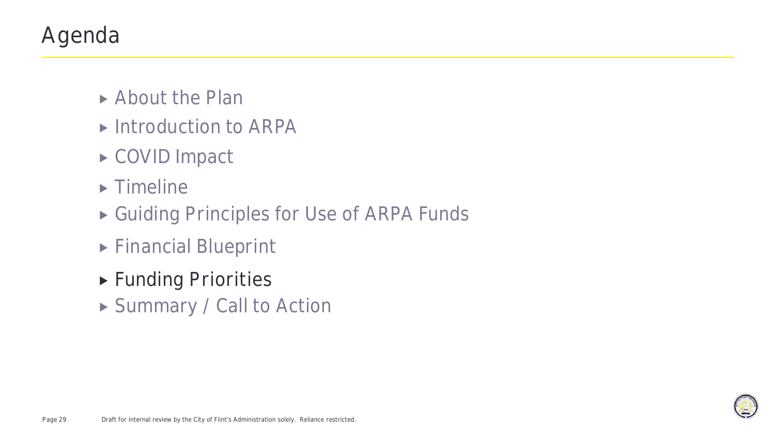# Agenda

- ▶ About the Plan
- ▶ Introduction to ARPA
- ▶ COVID Impact
- $\blacktriangleright$  Timeline
- ▶ Guiding Principles for Use of ARPA Funds
- Financial Blueprint
- **Funding Priorities**
- ▶ Summary / Call to Action

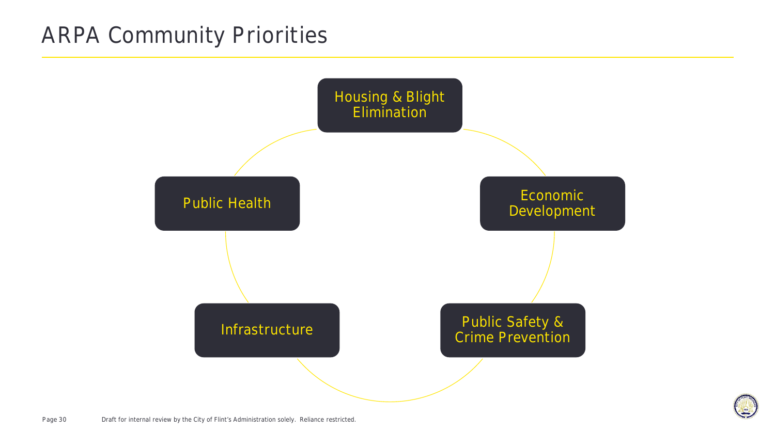### **ARPA Community Priorities**



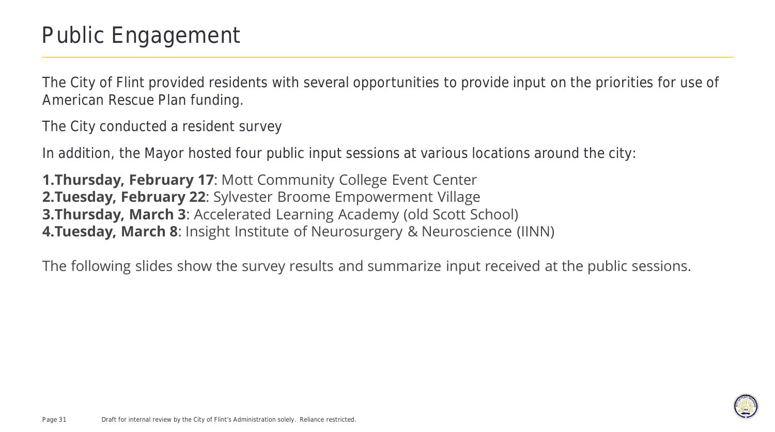The City of Flint provided residents with several opportunities to provide input on the priorities for use of American Rescue Plan funding.

The City conducted a resident survey

In addition, the Mayor hosted four public input sessions at various locations around the city:

**1.Thursday, February 17**: Mott Community College Event Center **2.Tuesday, February 22**: Sylvester Broome Empowerment Village **3.Thursday, March 3**: Accelerated Learning Academy (old Scott School) **4.Tuesday, March 8**: Insight Institute of Neurosurgery & Neuroscience (IINN)

The following slides show the survey results and summarize input received at the public sessions.

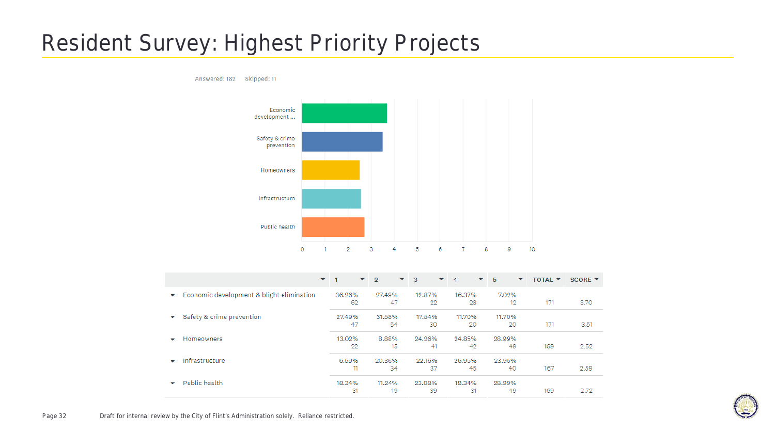# **Resident Survey: Highest Priority Projects**

Answered: 182 Skipped: 11



|                                                | $\overline{\phantom{a}}$<br>$\mathbf{v}$<br>1 | $\overline{2}$ | $\blacktriangledown$ 3<br>▼ | ▼<br>4 | 5<br>▼ | <b>TOTAL Y</b> | SCORE $\blacktriangledown$ |
|------------------------------------------------|-----------------------------------------------|----------------|-----------------------------|--------|--------|----------------|----------------------------|
| Economic development & blight elimination<br>▼ | 36.26%                                        | 27.49%         | 12.87%                      | 16.37% | 7.02%  |                |                            |
|                                                | 62                                            | 47             | 22                          | 28     | 12     | 171            | 3.70                       |
| Safety & crime prevention<br>▼                 | 27.49%                                        | 31.58%         | 17.54%                      | 11.70% | 11.70% |                |                            |
|                                                | 47                                            | 54             | 30                          | 20     | 20     | 171            | 3.51                       |
| Homeowners<br>$\overline{\phantom{a}}$         | 13.02%                                        | 8.88%          | 24.26%                      | 24.85% | 28.99% |                |                            |
|                                                | 22                                            | 15             | 41                          | 42     | 49     | 169            | 2.52                       |
| Infrastructure<br>$\overline{\phantom{a}}$     | 6.59%                                         | 20.36%         | 22.16%                      | 26.95% | 23.95% |                |                            |
|                                                | 11                                            | 34             | 37                          | 45     | 40     | 167            | 2.59                       |
| Public health<br>$\overline{\phantom{a}}$      | 18.34%                                        | 11.24%         | 23.08%                      | 18.34% | 28.99% |                |                            |
|                                                | 31                                            | 19             | 39                          | 31     | 49     | 169            | 2.72                       |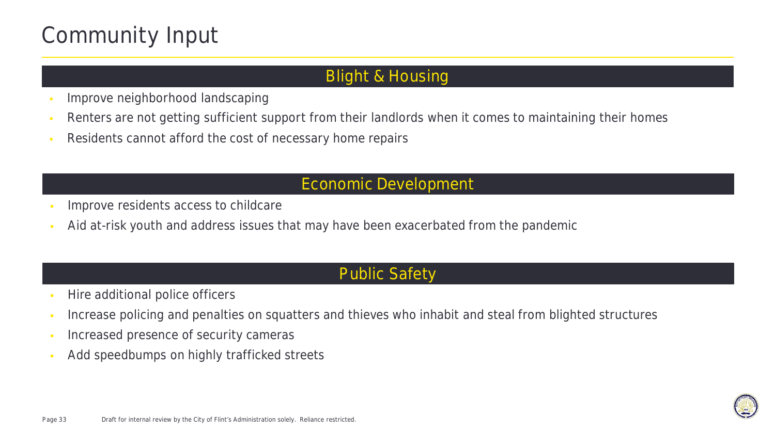# **Community Input**

### **Blight & Housing**

- Improve neighborhood landscaping
- Renters are not getting sufficient support from their landlords when it comes to maintaining their homes
- Residents cannot afford the cost of necessary home repairs

### **Economic Development**

- Improve residents access to childcare
- Aid at-risk youth and address issues that may have been exacerbated from the pandemic

### **Public Safety**

- Hire additional police officers
- Increase policing and penalties on squatters and thieves who inhabit and steal from blighted structures
- Increased presence of security cameras
- Add speedbumps on highly trafficked streets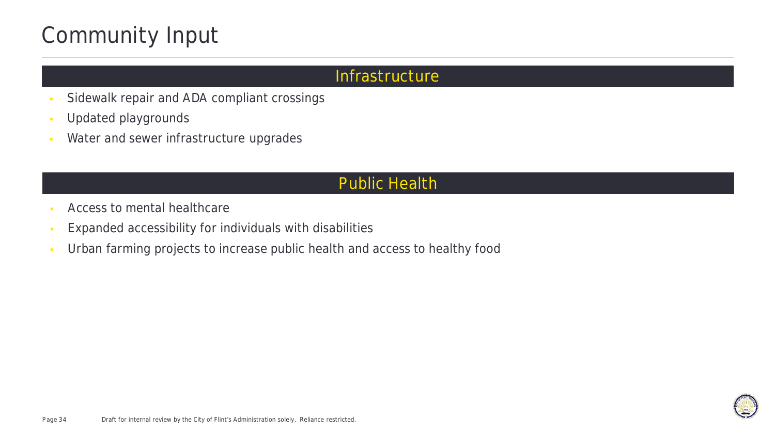# **Community Input**

### **Infrastructure**

- Sidewalk repair and ADA compliant crossings
- Updated playgrounds
- Water and sewer infrastructure upgrades

### **Public Health**

- Access to mental healthcare
- Expanded accessibility for individuals with disabilities
- Urban farming projects to increase public health and access to healthy food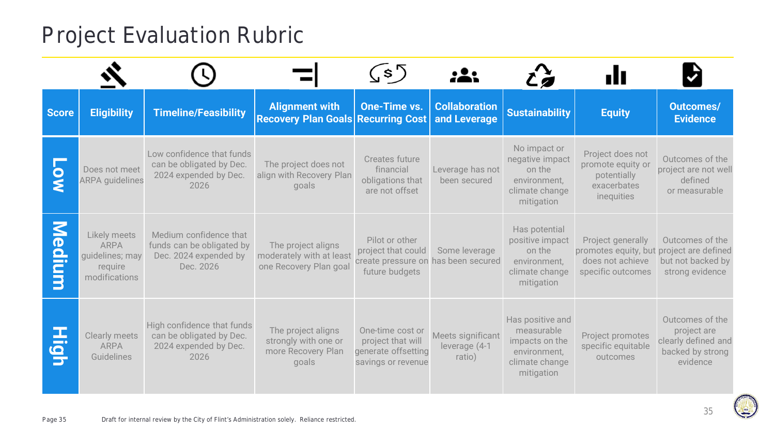# Project Evaluation Rubric

|                                             |                                                                            |                                                                                           |                                                                           | (\$)                                                                               |                                              |                                                                                                  | ılı                                                                                                    |                                                                                       |
|---------------------------------------------|----------------------------------------------------------------------------|-------------------------------------------------------------------------------------------|---------------------------------------------------------------------------|------------------------------------------------------------------------------------|----------------------------------------------|--------------------------------------------------------------------------------------------------|--------------------------------------------------------------------------------------------------------|---------------------------------------------------------------------------------------|
| <b>Score</b>                                | <b>Eligibility</b>                                                         | <b>Timeline/Feasibility</b>                                                               | <b>Alignment with</b><br><b>Recovery Plan Goals Recurring Cost</b>        | <b>One-Time vs.</b>                                                                | <b>Collaboration</b><br>and Leverage         | <b>Sustainability</b>                                                                            | <b>Equity</b>                                                                                          | <b>Outcomes/</b><br><b>Evidence</b>                                                   |
|                                             | Does not meet<br><b>ARPA</b> guidelines                                    | Low confidence that funds<br>can be obligated by Dec.<br>2024 expended by Dec.<br>2026    | The project does not<br>align with Recovery Plan<br>goals                 | Creates future<br>financial<br>obligations that<br>are not offset                  | Leverage has not<br>been secured             | No impact or<br>negative impact<br>on the<br>environment,<br>climate change<br>mitigation        | Project does not<br>promote equity or<br>potentially<br>exacerbates<br>inequities                      | Outcomes of the<br>project are not well<br>defined<br>or measurable                   |
| $\overline{\mathsf{S}}$<br>edi<br><b>SI</b> | Likely meets<br><b>ARPA</b><br>quidelines; may<br>require<br>modifications | Medium confidence that<br>funds can be obligated by<br>Dec. 2024 expended by<br>Dec. 2026 | The project aligns<br>moderately with at least<br>one Recovery Plan goal  | Pilot or other<br>project that could<br>create pressure on<br>future budgets       | Some leverage<br>has been secured            | Has potential<br>positive impact<br>on the<br>environment,<br>climate change<br>mitigation       | Project generally<br>promotes equity, but project are defined<br>does not achieve<br>specific outcomes | Outcomes of the<br>but not backed by<br>strong evidence                               |
| E<br>6<br>5                                 | <b>Clearly meets</b><br><b>ARPA</b><br>Guidelines                          | High confidence that funds<br>can be obligated by Dec.<br>2024 expended by Dec.<br>2026   | The project aligns<br>strongly with one or<br>more Recovery Plan<br>goals | One-time cost or<br>project that will<br>generate offsetting<br>savings or revenue | Meets significant<br>leverage (4-1<br>ratio) | Has positive and<br>measurable<br>impacts on the<br>environment,<br>climate change<br>mitigation | Project promotes<br>specific equitable<br>outcomes                                                     | Outcomes of the<br>project are<br>clearly defined and<br>backed by strong<br>evidence |

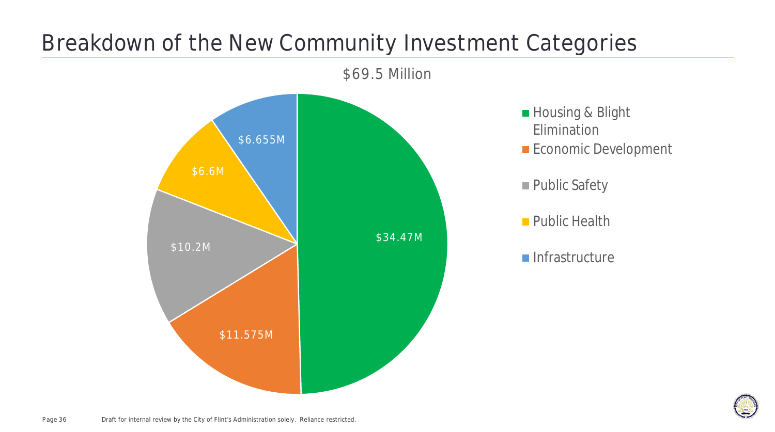# Breakdown of the New Community Investment Categories



■ Housing & Blight Elimination

- **Economic Development**
- **Public Safety**
- **Public Health**
- $\blacksquare$ Infrastructure

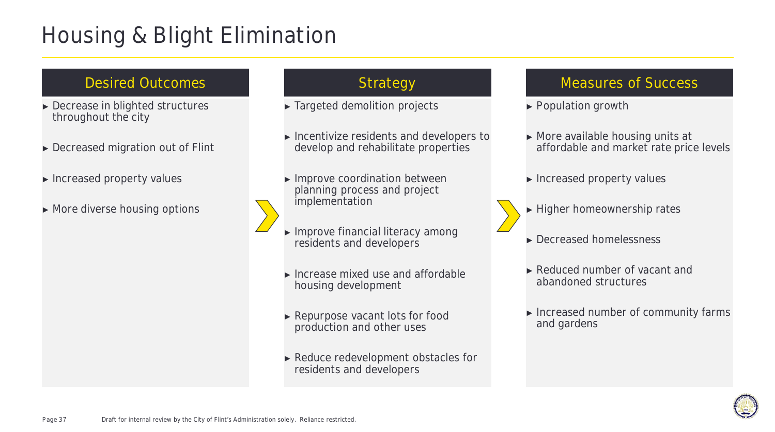# **Housing & Blight Elimination**

### Desired Outcomes and Strategy

- ► Decrease in blighted structures throughout the city
- ► Decreased migration out of Flint
- ► Increased property values
- ► More diverse housing options

- ► Targeted demolition projects
- ► Incentivize residents and developers to develop and rehabilitate properties
- ► Improve coordination between planning process and project implementation
- ► Improve financial literacy among residents and developers
- ► Increase mixed use and affordable housing development
- ► Repurpose vacant lots for food production and other uses
- ► Reduce redevelopment obstacles for residents and developers

- ► Population growth
- ► More available housing units at affordable and market rate price levels
- ► Increased property values
- ► Higher homeownership rates
- ► Decreased homelessness
- ► Reduced number of vacant and abandoned structures
- ► Increased number of community farms and gardens

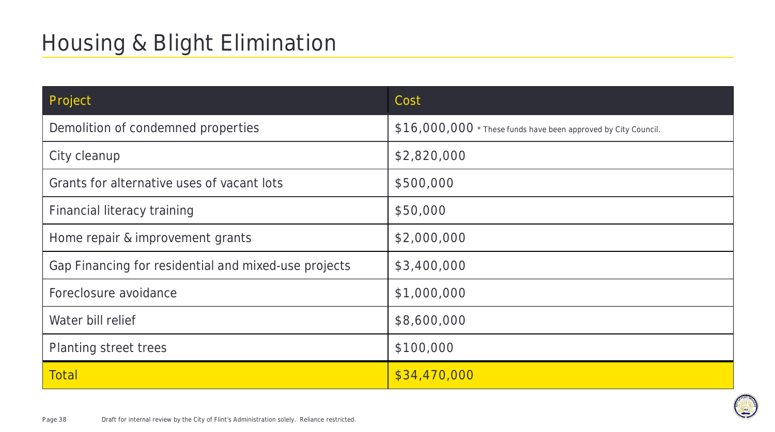| Project                                              | Cost                                                           |
|------------------------------------------------------|----------------------------------------------------------------|
| Demolition of condemned properties                   | \$16,000,000 * These funds have been approved by City Council. |
| City cleanup                                         | \$2,820,000                                                    |
| Grants for alternative uses of vacant lots           | \$500,000                                                      |
| Financial literacy training                          | \$50,000                                                       |
| Home repair & improvement grants                     | \$2,000,000                                                    |
| Gap Financing for residential and mixed-use projects | \$3,400,000                                                    |
| Foreclosure avoidance                                | \$1,000,000                                                    |
| Water bill relief                                    | \$8,600,000                                                    |
| Planting street trees                                | \$100,000                                                      |
| <b>Total</b>                                         | \$34,470,000                                                   |

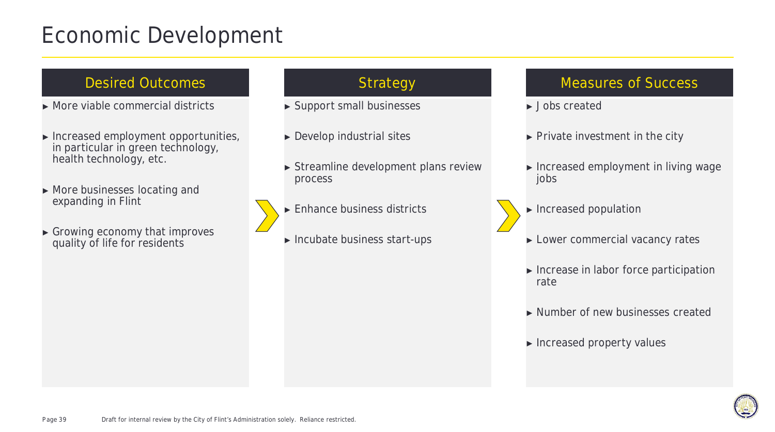### Economic Development

### Desired Outcomes and The Strategy

- ► More viable commercial districts
- ► Increased employment opportunities, in particular in green technology, health technology, etc.
- ► More businesses locating and expanding in Flint
- ► Growing economy that improves quality of life for residents

- ► Support small businesses
- ► Develop industrial sites
- ► Streamline development plans review process
- ► Enhance business districts
- ► Incubate business start-ups

- ► Jobs created
- ► Private investment in the city
- ► Increased employment in living wage jobs
- ► Increased population
- ► Lower commercial vacancy rates
- ► Increase in labor force participation rate
- ► Number of new businesses created
- ► Increased property values

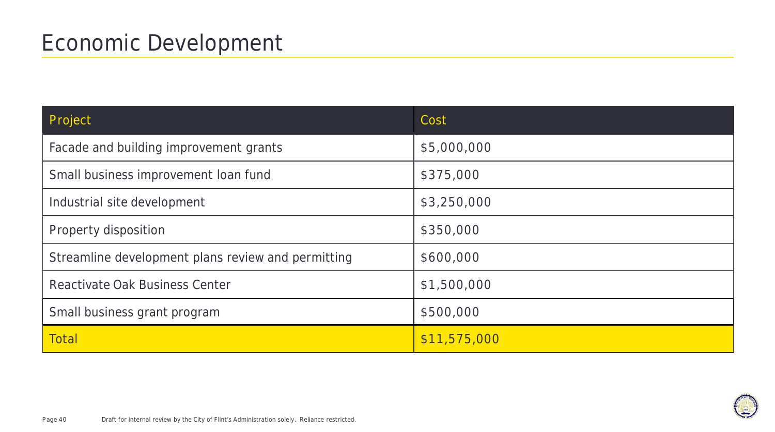| Project                                            | Cost         |
|----------------------------------------------------|--------------|
| Facade and building improvement grants             | \$5,000,000  |
| Small business improvement loan fund               | \$375,000    |
| Industrial site development                        | \$3,250,000  |
| Property disposition                               | \$350,000    |
| Streamline development plans review and permitting | \$600,000    |
| Reactivate Oak Business Center                     | \$1,500,000  |
| Small business grant program                       | \$500,000    |
| <b>Total</b>                                       | \$11,575,000 |

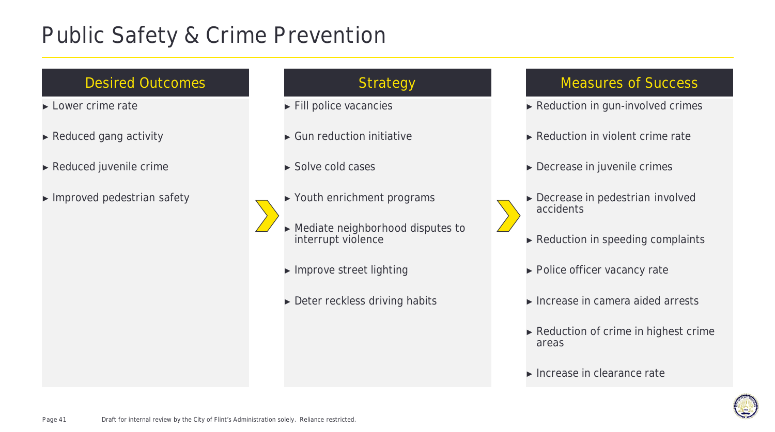### Public Safety & Crime Prevention

### Desired Outcomes and The Strategy

- ► Lower crime rate
- ► Reduced gang activity
- ► Reduced juvenile crime
- ► Improved pedestrian safety

- ► Fill police vacancies
- ► Gun reduction initiative
- ► Solve cold cases
- ► Youth enrichment programs
- ► Mediate neighborhood disputes to interrupt violence
	- ► Improve street lighting
	- ► Deter reckless driving habits

- ► Reduction in gun-involved crimes
- ► Reduction in violent crime rate
- ► Decrease in juvenile crimes
- ► Decrease in pedestrian involved accidents
- ► Reduction in speeding complaints
- ► Police officer vacancy rate
- ► Increase in camera aided arrests
- ► Reduction of crime in highest crime areas
- ► Increase in clearance rate

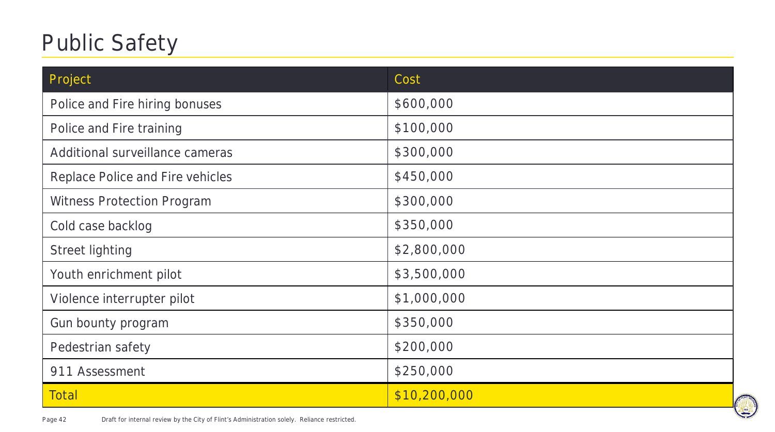# **Public Safety**

| Project                           | Cost         |
|-----------------------------------|--------------|
| Police and Fire hiring bonuses    | \$600,000    |
| Police and Fire training          | \$100,000    |
| Additional surveillance cameras   | \$300,000    |
| Replace Police and Fire vehicles  | \$450,000    |
| <b>Witness Protection Program</b> | \$300,000    |
| Cold case backlog                 | \$350,000    |
| <b>Street lighting</b>            | \$2,800,000  |
| Youth enrichment pilot            | \$3,500,000  |
| Violence interrupter pilot        | \$1,000,000  |
| Gun bounty program                | \$350,000    |
| Pedestrian safety                 | \$200,000    |
| 911 Assessment                    | \$250,000    |
| <b>Total</b>                      | \$10,200,000 |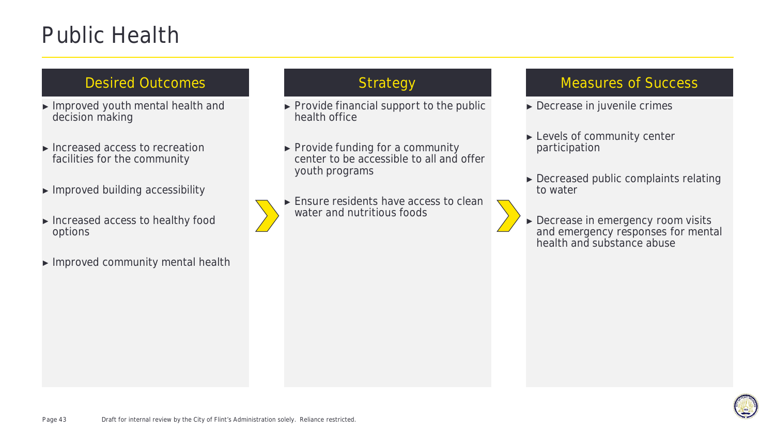### Public Health

### Desired Outcomes and The Strategy

- ► Improved youth mental health and decision making
- ► Increased access to recreation facilities for the community
- ► Improved building accessibility
- ► Increased access to healthy food options
- ► Improved community mental health

- ► Provide financial support to the public health office
- ► Provide funding for a community center to be accessible to all and offer youth programs
- ► Ensure residents have access to clean water and nutritious foods

- ► Decrease in juvenile crimes
- ► Levels of community center participation
- ► Decreased public complaints relating to water
- ► Decrease in emergency room visits and emergency responses for mental health and substance abuse

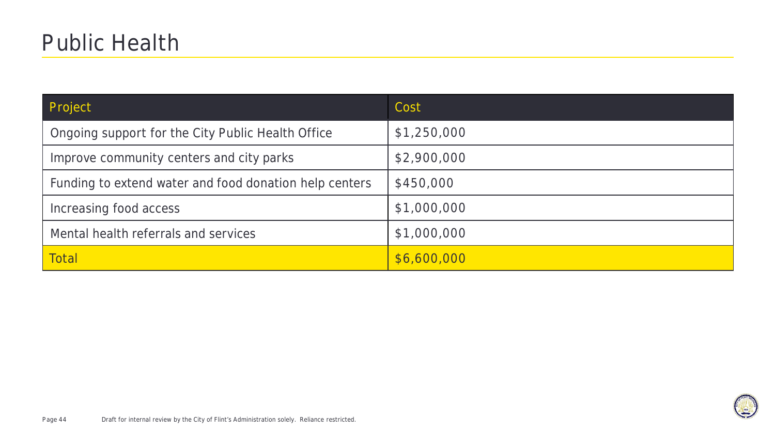| Project                                                | Cost        |
|--------------------------------------------------------|-------------|
| Ongoing support for the City Public Health Office      | \$1,250,000 |
| Improve community centers and city parks               | \$2,900,000 |
| Funding to extend water and food donation help centers | \$450,000   |
| Increasing food access                                 | \$1,000,000 |
| Mental health referrals and services                   | \$1,000,000 |
| <b>Total</b>                                           | \$6,600,000 |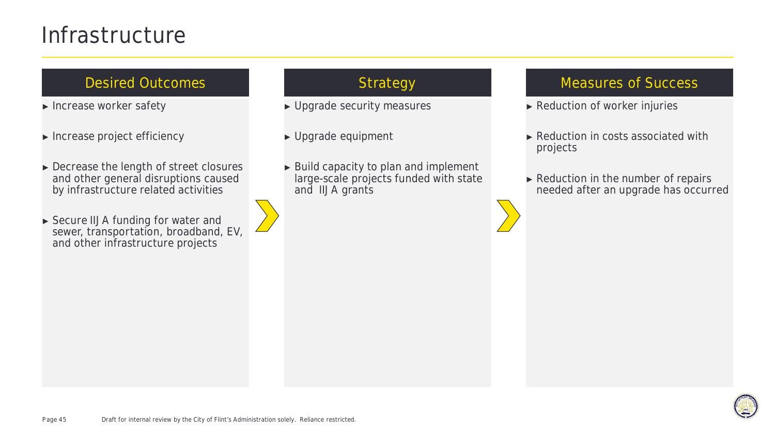### **Infrastructure**

### Desired Outcomes and The Strategy

- ► Increase worker safety
- ► Increase project efficiency
- ► Decrease the length of street closures and other general disruptions caused by infrastructure related activities
- ► Secure IIJA funding for water and sewer, transportation, broadband, EV, and other infrastructure projects

- ► Upgrade security measures
- ► Upgrade equipment
- ► Build capacity to plan and implement large-scale projects funded with state and IIJA grants

- ► Reduction of worker injuries
- ► Reduction in costs associated with projects
- ► Reduction in the number of repairs needed after an upgrade has occurred

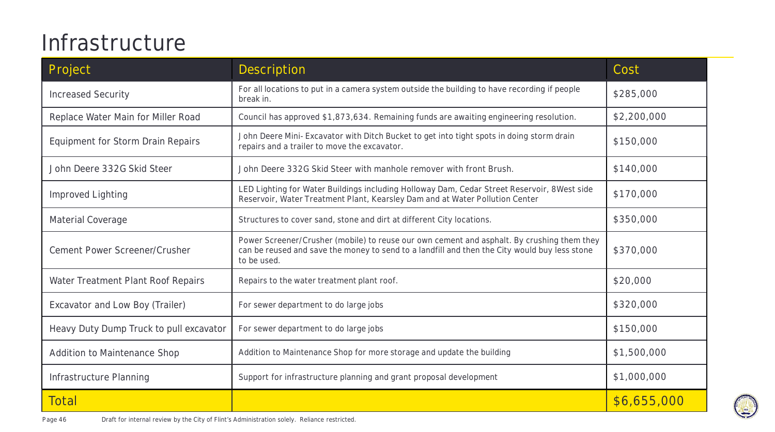# **Infrastructure**

| Project                                 | <b>Description</b>                                                                                                                                                                                         | Cost        |
|-----------------------------------------|------------------------------------------------------------------------------------------------------------------------------------------------------------------------------------------------------------|-------------|
| <b>Increased Security</b>               | For all locations to put in a camera system outside the building to have recording if people<br>break in.                                                                                                  | \$285,000   |
| Replace Water Main for Miller Road      | Council has approved \$1,873,634. Remaining funds are awaiting engineering resolution.                                                                                                                     | \$2,200,000 |
| Equipment for Storm Drain Repairs       | John Deere Mini- Excavator with Ditch Bucket to get into tight spots in doing storm drain<br>repairs and a trailer to move the excavator.                                                                  | \$150,000   |
| John Deere 332G Skid Steer              | John Deere 332G Skid Steer with manhole remover with front Brush.                                                                                                                                          | \$140,000   |
| Improved Lighting                       | LED Lighting for Water Buildings including Holloway Dam, Cedar Street Reservoir, 8West side<br>Reservoir, Water Treatment Plant, Kearsley Dam and at Water Pollution Center                                | \$170,000   |
| Material Coverage                       | Structures to cover sand, stone and dirt at different City locations.                                                                                                                                      | \$350,000   |
| Cement Power Screener/Crusher           | Power Screener/Crusher (mobile) to reuse our own cement and asphalt. By crushing them they<br>can be reused and save the money to send to a landfill and then the City would buy less stone<br>to be used. | \$370,000   |
| Water Treatment Plant Roof Repairs      | Repairs to the water treatment plant roof.                                                                                                                                                                 | \$20,000    |
| Excavator and Low Boy (Trailer)         | For sewer department to do large jobs                                                                                                                                                                      | \$320,000   |
| Heavy Duty Dump Truck to pull excavator | For sewer department to do large jobs                                                                                                                                                                      | \$150,000   |
| Addition to Maintenance Shop            | Addition to Maintenance Shop for more storage and update the building                                                                                                                                      | \$1,500,000 |
| Infrastructure Planning                 | Support for infrastructure planning and grant proposal development                                                                                                                                         | \$1,000,000 |
| <b>Total</b>                            |                                                                                                                                                                                                            | \$6,655,000 |

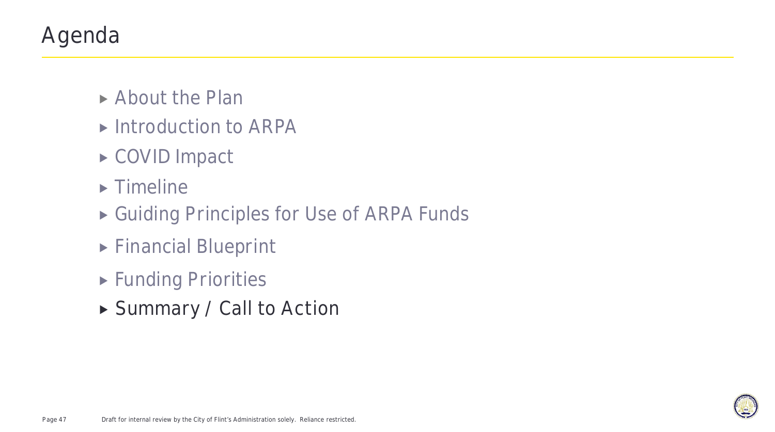# Agenda

- ▶ About the Plan
- ▶ Introduction to ARPA
- ▶ COVID Impact
- $\blacktriangleright$  Timeline
- ▶ Guiding Principles for Use of ARPA Funds
- Financial Blueprint
- **Funding Priorities**
- **Summary / Call to Action**

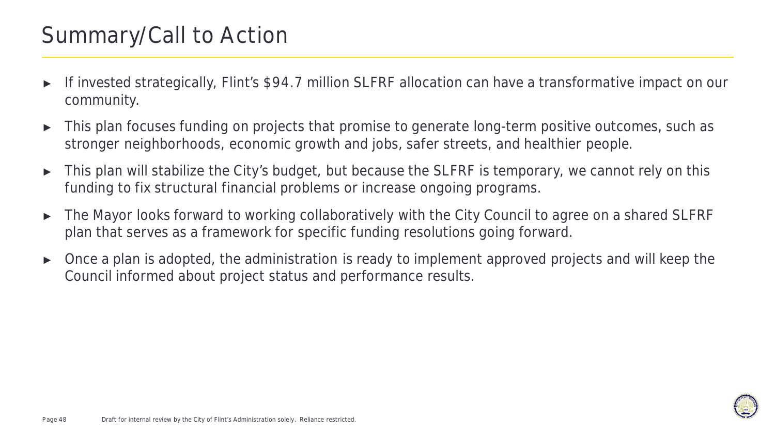### Summary/Call to Action

- If invested strategically, Flint's \$94.7 million SLFRF allocation can have a transformative impact on our community.
- ► This plan focuses funding on projects that promise to generate long-term positive outcomes, such as stronger neighborhoods, economic growth and jobs, safer streets, and healthier people.
- ► This plan will stabilize the City's budget, but because the SLFRF is temporary, we cannot rely on this funding to fix structural financial problems or increase ongoing programs.
- ► The Mayor looks forward to working collaboratively with the City Council to agree on a shared SLFRF plan that serves as a framework for specific funding resolutions going forward.
- ► Once a plan is adopted, the administration is ready to implement approved projects and will keep the Council informed about project status and performance results.

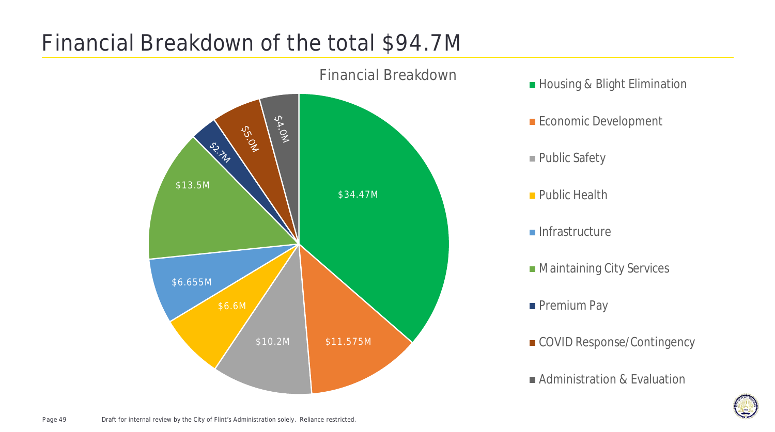# Financial Breakdown of the total \$94.7M



- 
- **Economic Development**
- Public Safety
- **Public Health**
- $\blacksquare$ Infrastructure
- **Maintaining City Services**
- **Premium Pay**
- COVID Response/Contingency
- **Administration & Evaluation**